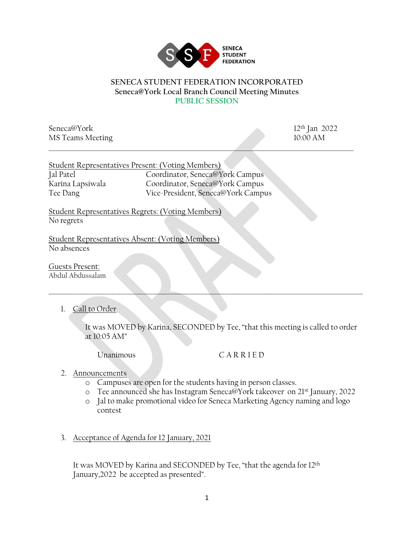

## **SENECA STUDENT FEDERATION INCORPORATED Seneca@York Local Branch Council Meeting Minutes PUBLIC SESSION**

\_\_\_\_\_\_\_\_\_\_\_\_\_\_\_\_\_\_\_\_\_\_\_\_\_\_\_\_\_\_\_\_\_\_\_\_\_\_\_\_\_\_\_\_\_\_\_\_\_\_\_\_\_\_\_\_\_\_\_\_\_\_\_\_\_\_\_\_\_\_\_\_\_\_\_\_\_\_\_\_\_\_\_\_\_\_\_\_\_\_\_\_\_\_\_\_\_\_\_\_

Seneca@York 12<sup>th</sup> Jan 2022 MS Teams Meeting 10:00 AM

|                  | Student Representatives Present: (Voting Members) |
|------------------|---------------------------------------------------|
| Jal Patel        | Coordinator, Seneca@York Campus                   |
| Karina Lapsiwala | Coordinator, Seneca@York Campus                   |
| Tee Dang         | Vice-President, Seneca@York Campus                |

Student Representatives Regrets: (Voting Members) No regrets

Student Representatives Absent: (Voting Members) No absences

Guests Present: Abdul Abdussalam

1. Call to Order

It was MOVED by Karina, SECONDED by Tee, "that this meeting is called to order at 10:05 AM"

\_\_\_\_\_\_\_\_\_\_\_\_\_\_\_\_\_\_\_\_\_\_\_\_\_\_\_\_\_\_\_\_\_\_\_\_\_\_\_\_\_\_\_\_\_\_\_\_\_\_\_\_\_\_\_\_\_\_\_\_\_\_\_\_\_\_\_\_\_\_\_\_\_\_\_\_\_\_\_\_\_\_\_\_\_\_\_\_\_\_\_\_\_\_\_\_\_\_\_\_\_\_\_

## Unanimous C A R R I E D

- 2. Announcements
	- o Campuses are open for the students having in person classes.
	- o Tee announced she has Instagram Seneca@York takeover on 21st January, 2022
	- o Jal to make promotional video for Seneca Marketing Agency naming and logo contest
- 3. Acceptance of Agenda for 12 January, 2021

It was MOVED by Karina and SECONDED by Tee, "that the agenda for 12th January,2022 be accepted as presented".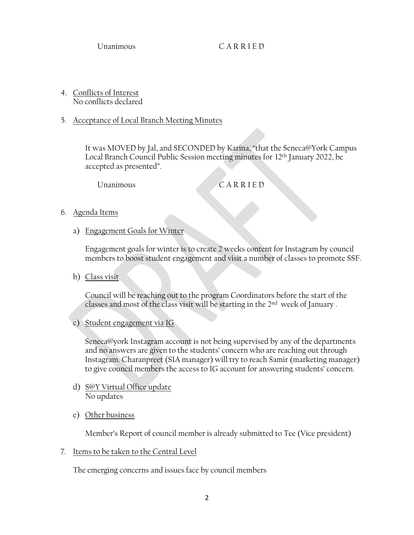Unanimous C A R R I E D

- 4. Conflicts of Interest No conflicts declared
- 5. Acceptance of Local Branch Meeting Minutes

It was MOVED by Jal, and SECONDED by Karina, "that the Seneca@York Campus Local Branch Council Public Session meeting minutes for 12th January 2022, be accepted as presented".

Unanimous C A R R I E D

- 6. Agenda Items
	- a) Engagement Goals for Winter

Engagement goals for winter is to create 2 weeks content for Instagram by council members to boost student engagement and visit a number of classes to promote SSF.

b) Class visit

Council will be reaching out to the program Coordinators before the start of the classes and most of the class visit will be starting in the 2nd week of January .

c) Student engagement via IG

 Seneca@york Instagram account is not being supervised by any of the departments and no answers are given to the students' concern who are reaching out through Instagram. Charanpreet (SIA manager) will try to reach Samir (marketing manager) to give council members the access to IG account for answering students' concern.

- d) S@Y Virtual Office update No updates
- e) Other business

Member's Report of council member is already submitted to Tee (Vice president)

7. Items to be taken to the Central Level

The emerging concerns and issues face by council members